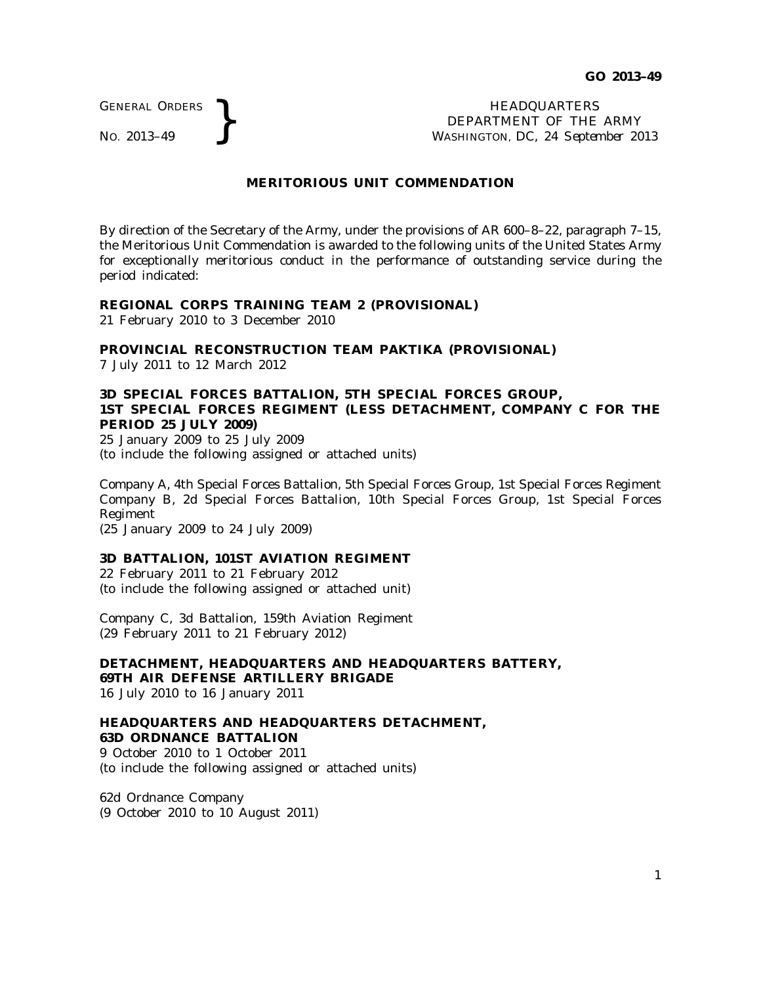GENERAL ORDERS

GENERAL ORDERS **REAL ORDERS** HEADQUARTERS **HEADQUARTERS HEADQUARTERS DEPARTMENT** OF THE **NO.** 2013–49 DEPARTMENT OF THE ARMY WASHINGTON, DC, *24 September 2013*

# **MERITORIOUS UNIT COMMENDATION**

By direction of the Secretary of the Army, under the provisions of AR 600–8–22, paragraph 7–15, the Meritorious Unit Commendation is awarded to the following units of the United States Army for exceptionally meritorious conduct in the performance of outstanding service during the period indicated:

#### **REGIONAL CORPS TRAINING TEAM 2 (PROVISIONAL)**

21 February 2010 to 3 December 2010

# **PROVINCIAL RECONSTRUCTION TEAM PAKTIKA (PROVISIONAL)**

7 July 2011 to 12 March 2012

# **3D SPECIAL FORCES BATTALION, 5TH SPECIAL FORCES GROUP, 1ST SPECIAL FORCES REGIMENT (LESS DETACHMENT, COMPANY C FOR THE PERIOD 25 JULY 2009)**

25 January 2009 to 25 July 2009 (to include the following assigned or attached units)

Company A, 4th Special Forces Battalion, 5th Special Forces Group, 1st Special Forces Regiment Company B, 2d Special Forces Battalion, 10th Special Forces Group, 1st Special Forces Regiment

(25 January 2009 to 24 July 2009)

#### **3D BATTALION, 101ST AVIATION REGIMENT**

22 February 2011 to 21 February 2012 (to include the following assigned or attached unit)

Company C, 3d Battalion, 159th Aviation Regiment (29 February 2011 to 21 February 2012)

**DETACHMENT, HEADQUARTERS AND HEADQUARTERS BATTERY, 69TH AIR DEFENSE ARTILLERY BRIGADE** 16 July 2010 to 16 January 2011

# **HEADQUARTERS AND HEADQUARTERS DETACHMENT, 63D ORDNANCE BATTALION**

9 October 2010 to 1 October 2011 (to include the following assigned or attached units)

62d Ordnance Company (9 October 2010 to 10 August 2011)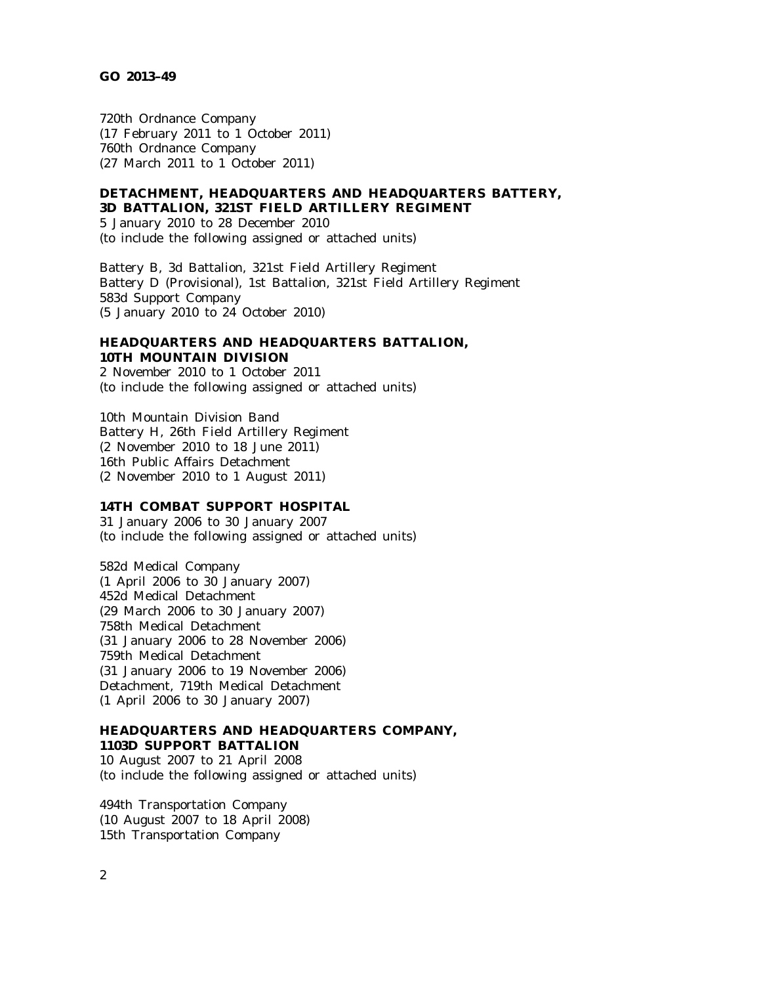#### **GO 2013–49**

720th Ordnance Company (17 February 2011 to 1 October 2011) 760th Ordnance Company (27 March 2011 to 1 October 2011)

### **DETACHMENT, HEADQUARTERS AND HEADQUARTERS BATTERY, 3D BATTALION, 321ST FIELD ARTILLERY REGIMENT**

5 January 2010 to 28 December 2010 (to include the following assigned or attached units)

Battery B, 3d Battalion, 321st Field Artillery Regiment Battery D (Provisional), 1st Battalion, 321st Field Artillery Regiment 583d Support Company (5 January 2010 to 24 October 2010)

# **HEADQUARTERS AND HEADQUARTERS BATTALION, 10TH MOUNTAIN DIVISION**

2 November 2010 to 1 October 2011 (to include the following assigned or attached units)

10th Mountain Division Band Battery H, 26th Field Artillery Regiment (2 November 2010 to 18 June 2011) 16th Public Affairs Detachment (2 November 2010 to 1 August 2011)

# **14TH COMBAT SUPPORT HOSPITAL**

31 January 2006 to 30 January 2007 (to include the following assigned or attached units)

582d Medical Company (1 April 2006 to 30 January 2007) 452d Medical Detachment (29 March 2006 to 30 January 2007) 758th Medical Detachment (31 January 2006 to 28 November 2006) 759th Medical Detachment (31 January 2006 to 19 November 2006) Detachment, 719th Medical Detachment (1 April 2006 to 30 January 2007)

# **HEADQUARTERS AND HEADQUARTERS COMPANY, 1103D SUPPORT BATTALION**

10 August 2007 to 21 April 2008 (to include the following assigned or attached units)

494th Transportation Company (10 August 2007 to 18 April 2008) 15th Transportation Company